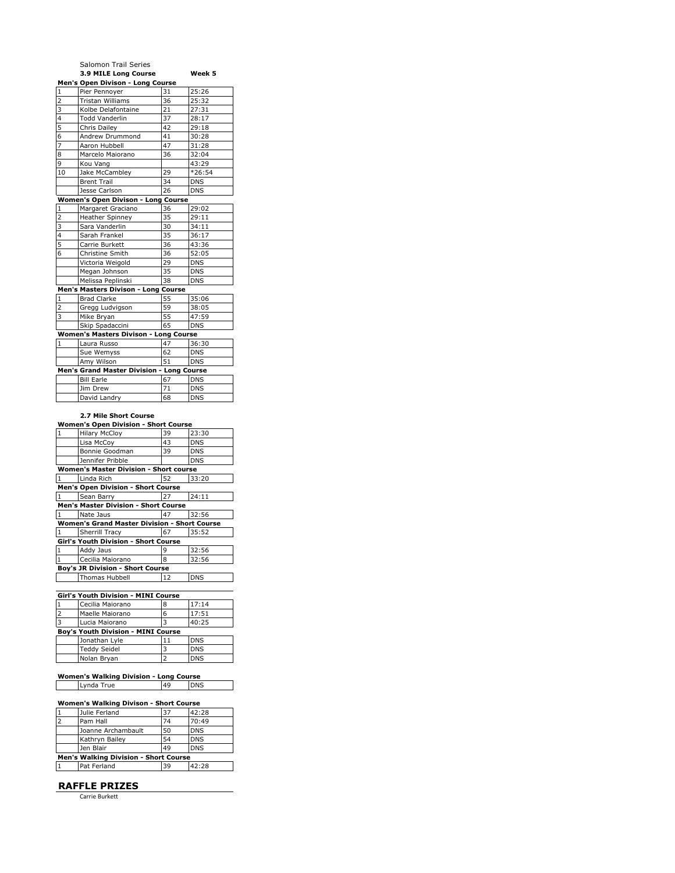|                | Salomon Trail Series                                                |    |            |
|----------------|---------------------------------------------------------------------|----|------------|
|                | 3.9 MILE Long Course                                                |    | Week 5     |
|                | Men's Open Divison - Long Course                                    |    |            |
| $\overline{1}$ | Pier Pennoyer                                                       | 31 | 25:26      |
| $\overline{2}$ | Tristan Williams                                                    | 36 | 25:32      |
| 3              | Kolbe Delafontaine                                                  | 21 | 27:31      |
| $\overline{4}$ | <b>Todd Vanderlin</b>                                               | 37 | 28:17      |
| 5              | Chris Dailey                                                        | 42 | 29:18      |
| 6              | Andrew Drummond                                                     | 41 | 30:28      |
| 7              | Aaron Hubbell                                                       | 47 | 31:28      |
| 8              | Marcelo Maiorano                                                    | 36 | 32:04      |
| 9              | Kou Vang                                                            |    | 43:29      |
| 10             | Jake McCambley                                                      | 29 | $*26:54$   |
|                | <b>Brent Trail</b>                                                  | 34 | <b>DNS</b> |
|                | Jesse Carlson                                                       | 26 | <b>DNS</b> |
|                | Women's Open Divison - Long Course                                  |    |            |
| 1              | Margaret Graciano                                                   | 36 | 29:02      |
| $\overline{2}$ | <b>Heather Spinney</b>                                              | 35 | 29:11      |
| 3              | Sara Vanderlin                                                      | 30 | 34:11      |
| $\overline{4}$ | Sarah Frankel                                                       | 35 | 36:17      |
| $\overline{5}$ | Carrie Burkett                                                      | 36 | 43:36      |
| 6              | Christine Smith                                                     | 36 | 52:05      |
|                | Victoria Weigold                                                    | 29 | <b>DNS</b> |
|                | Megan Johnson                                                       | 35 | <b>DNS</b> |
|                | Melissa Peplinski                                                   | 38 | <b>DNS</b> |
|                | Men's Masters Divison - Long Course                                 |    |            |
| $\mathbf{1}$   | <b>Brad Clarke</b>                                                  | 55 | 35:06      |
| $\overline{2}$ | Gregg Ludvigson                                                     | 59 | 38:05      |
| 3              | Mike Bryan                                                          | 55 | 47:59      |
|                | Skip Spadaccini                                                     | 65 | <b>DNS</b> |
|                | <b>Women's Masters Divison - Long Course</b>                        |    |            |
| $\mathbf{1}$   | Laura Russo                                                         | 47 | 36:30      |
|                | Sue Wemyss                                                          | 62 | <b>DNS</b> |
|                | Amy Wilson                                                          | 51 | <b>DNS</b> |
|                | Men's Grand Master Division - Long Course                           |    |            |
|                | <b>Bill Earle</b>                                                   | 67 | <b>DNS</b> |
|                | Jim Drew                                                            | 71 | <b>DNS</b> |
|                | David Landry                                                        | 68 | <b>DNS</b> |
|                |                                                                     |    |            |
|                | 2.7 Mile Short Course                                               |    |            |
|                | <b>Women's Open Division - Short Course</b><br><b>Hilary McCloy</b> | 39 | 23:30      |
| 1              | Lisa McCov                                                          | 43 | <b>DNS</b> |

| $\mathbf{1}$                                        | <b>Hilary McCloy</b>  | 39 | 23:30      |  |
|-----------------------------------------------------|-----------------------|----|------------|--|
|                                                     | Lisa McCoy            | 43 | <b>DNS</b> |  |
|                                                     | Bonnie Goodman        | 39 | <b>DNS</b> |  |
|                                                     | Jennifer Pribble      |    | <b>DNS</b> |  |
| <b>Women's Master Division - Short course</b>       |                       |    |            |  |
| $\mathbf{1}$                                        | Linda Rich            | 52 | 33:20      |  |
| <b>Men's Open Division - Short Course</b>           |                       |    |            |  |
| $\mathbf{1}$                                        | Sean Barry            | 27 | 24:11      |  |
| <b>Men's Master Division - Short Course</b>         |                       |    |            |  |
| 1                                                   | Nate Jaus             | 47 | 32:56      |  |
| <b>Women's Grand Master Division - Short Course</b> |                       |    |            |  |
| $\mathbf{1}$                                        | Sherrill Tracy        | 67 | 35:52      |  |
| Girl's Youth Division - Short Course                |                       |    |            |  |
| $\mathbf 1$                                         | Addy Jaus             | 9  | 32:56      |  |
| $\mathbf{1}$                                        | Cecilia Maiorano      | 8  | 32:56      |  |
| <b>Boy's JR Division - Short Course</b>             |                       |    |            |  |
|                                                     | <b>Thomas Hubbell</b> | 12 | <b>DNS</b> |  |

| <b>Girl's Youth Division - MINI Course</b> |                     |    |            |  |  |
|--------------------------------------------|---------------------|----|------------|--|--|
|                                            | Cecilia Maiorano    | 8  | 17:14      |  |  |
| $\overline{2}$                             | Maelle Maiorano     | 6  | 17:51      |  |  |
| $\overline{a}$                             | Lucia Maiorano      | ว  | 40:25      |  |  |
| Boy's Youth Division - MINI Course         |                     |    |            |  |  |
|                                            | Jonathan Lyle       | 11 | <b>DNS</b> |  |  |
|                                            | <b>Teddy Seidel</b> | 3  | <b>DNS</b> |  |  |
|                                            | Nolan Bryan         |    | <b>DNS</b> |  |  |

## **Women's Walking Division - Long Course** Lynda True 19 | DNS

 $\Box$ 

| Women's Walking Divison - Short Course       |                    |    |            |  |
|----------------------------------------------|--------------------|----|------------|--|
|                                              | Julie Ferland      | 37 | 42:28      |  |
| $\overline{\phantom{0}}$                     | Pam Hall           | 74 | 70:49      |  |
|                                              | Joanne Archambault | 50 | <b>DNS</b> |  |
|                                              | Kathryn Bailey     | 54 | <b>DNS</b> |  |
|                                              | Jen Blair          | 49 | <b>DNS</b> |  |
| <b>Men's Walking Division - Short Course</b> |                    |    |            |  |
|                                              | Pat Ferland        | 39 | 42:28      |  |

## **RAFFLE PRIZES**

Carrie Burkett